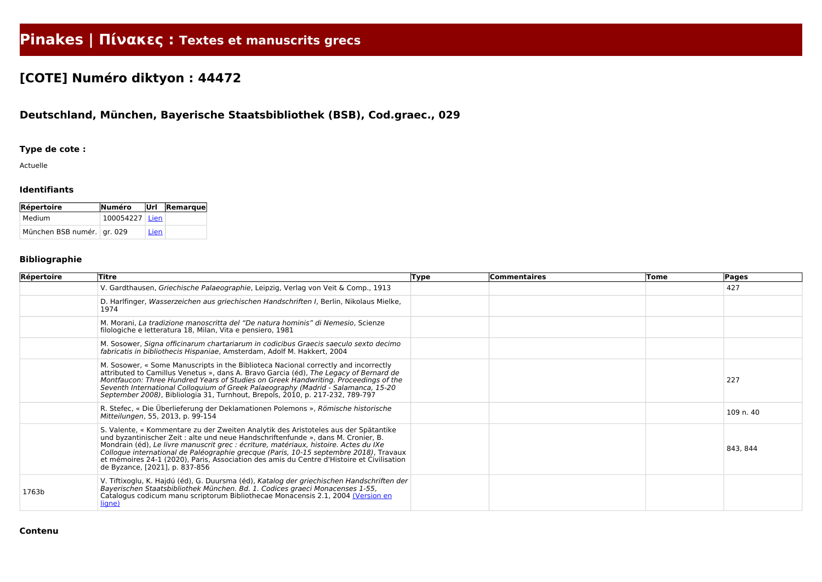# **Pinakes | Πίνακες : Textes et manuscrits grecs**

## **[COTE] Numéro diktyon : 44472**

### **Deutschland, München, Bayerische Staatsbibliothek (BSB), Cod.graec., 029**

#### **Type de cote :**

Actuelle

#### **Identifiants**

| <b>Répertoire</b>            | Numéro         |      | Url Remarque |
|------------------------------|----------------|------|--------------|
| Medium                       | 100054227 Lien |      |              |
| München BSB numér.   gr. 029 |                | Lien |              |

#### **Bibliographie**

| Répertoire | Titre                                                                                                                                                                                                                                                                                                                                                                                                                                                                                    | <b>Type</b> | <b>Commentaires</b> | <b>Tome</b> | Pages     |
|------------|------------------------------------------------------------------------------------------------------------------------------------------------------------------------------------------------------------------------------------------------------------------------------------------------------------------------------------------------------------------------------------------------------------------------------------------------------------------------------------------|-------------|---------------------|-------------|-----------|
|            | V. Gardthausen, Griechische Palaeographie, Leipzig, Verlag von Veit & Comp., 1913                                                                                                                                                                                                                                                                                                                                                                                                        |             |                     |             | 427       |
|            | D. Harlfinger, Wasserzeichen aus griechischen Handschriften I, Berlin, Nikolaus Mielke,<br>1974                                                                                                                                                                                                                                                                                                                                                                                          |             |                     |             |           |
|            | M. Morani, La tradizione manoscritta del "De natura hominis" di Nemesio, Scienze<br>filologiche e letteratura 18, Milan, Vita e pensiero, 1981                                                                                                                                                                                                                                                                                                                                           |             |                     |             |           |
|            | M. Sosower, Signa officinarum chartariarum in codicibus Graecis saeculo sexto decimo<br>fabricatis in bibliothecis Hispaniae, Amsterdam, Adolf M. Hakkert, 2004                                                                                                                                                                                                                                                                                                                          |             |                     |             |           |
|            | M. Sosower, « Some Manuscripts in the Biblioteca Nacional correctly and incorrectly<br>attributed to Camillus Venetus », dans A. Bravo Garcia (éd), The Legacy of Bernard de<br>Montfaucon: Three Hundred Years of Studies on Greek Handwriting. Proceedings of the<br>Seventh International Colloquium of Greek Palaeography (Madrid - Salamanca, 15-20<br>September 2008), Bibliologia 31, Turnhout, Brepols, 2010, p. 217-232, 789-797                                                |             |                     |             | 227       |
|            | R. Stefec, « Die Überlieferung der Deklamationen Polemons », Römische historische<br>Mitteilungen, 55, 2013, p. 99-154                                                                                                                                                                                                                                                                                                                                                                   |             |                     |             | 109 n. 40 |
|            | S. Valente, « Kommentare zu der Zweiten Analytik des Aristoteles aus der Spätantike<br>und byzantinischer Zeit : alte und neue Handschriftenfunde », dans M. Cronier, B.<br>Mondrain (éd), Le livre manuscrit grec : écriture, matériaux, histoire. Actes du IXe<br>Colloque international de Paléographie grecque (Paris, 10-15 septembre 2018), Travaux<br>et mémoires 24-1 (2020), Paris, Association des amis du Centre d'Histoire et Civilisation<br>de Byzance, [2021], p. 837-856 |             |                     |             | 843, 844  |
| 1763b      | V. Tiftixoglu, K. Hajdú (éd), G. Duursma (éd), Katalog der griechischen Handschriften der<br>Bayerischen Staatsbibliothek München. Bd. 1. Codices graeci Monacenses 1-55,<br>Catalogus codicum manu scriptorum Bibliothecae Monacensis 2.1, 2004 (Version en<br><u>ligne)</u>                                                                                                                                                                                                            |             |                     |             |           |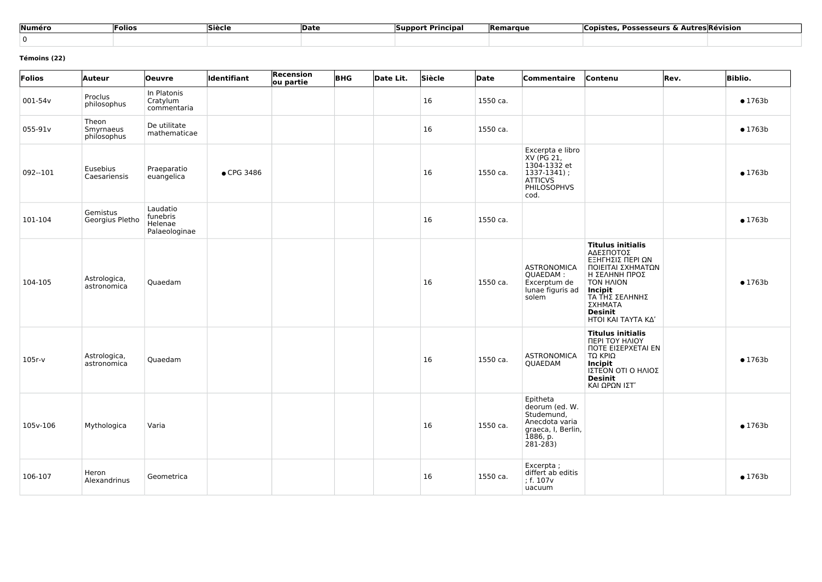| Numéro | Folios | Siècle | <b>Date</b> | Principal<br><b>Support</b> | <b>Remarque</b> | Copistes,<br>. Autres Révision<br><b>Possesseurs &amp;</b> |
|--------|--------|--------|-------------|-----------------------------|-----------------|------------------------------------------------------------|
|        |        |        |             |                             |                 |                                                            |

#### **Témoins (22)**

| Folios   | Auteur                            | <b>Oeuvre</b>                                    | <b>Identifiant</b> | <b>Recension</b><br>ou partie | <b>BHG</b> | Date Lit. | Siècle | Date     | Commentaire                                                                                                     | Contenu                                                                                                                                                                                             | Rev. | <b>Biblio.</b>  |
|----------|-----------------------------------|--------------------------------------------------|--------------------|-------------------------------|------------|-----------|--------|----------|-----------------------------------------------------------------------------------------------------------------|-----------------------------------------------------------------------------------------------------------------------------------------------------------------------------------------------------|------|-----------------|
| 001-54v  | Proclus<br>philosophus            | In Platonis<br>Cratylum<br>commentaria           |                    |                               |            |           | 16     | 1550 ca. |                                                                                                                 |                                                                                                                                                                                                     |      | $\bullet$ 1763b |
| 055-91v  | Theon<br>Smyrnaeus<br>philosophus | De utilitate<br>mathematicae                     |                    |                               |            |           | 16     | 1550 ca. |                                                                                                                 |                                                                                                                                                                                                     |      | $\bullet$ 1763b |
| 092--101 | Eusebius<br>Caesariensis          | Praeparatio<br>euangelica                        | • CPG 3486         |                               |            |           | 16     | 1550 ca. | Excerpta e libro<br>XV (PG 21,<br>1304-1332 et<br>$1337-1341$ ;<br><b>ATTICVS</b><br><b>PHILOSOPHVS</b><br>cod. |                                                                                                                                                                                                     |      | • 1763b         |
| 101-104  | Gemistus<br>Georgius Pletho       | Laudatio<br>funebris<br>Helenae<br>Palaeologinae |                    |                               |            |           | 16     | 1550 ca. |                                                                                                                 |                                                                                                                                                                                                     |      | • 1763b         |
| 104-105  | Astrologica,<br>astronomica       | Quaedam                                          |                    |                               |            |           | 16     | 1550 ca. | <b>ASTRONOMICA</b><br>QUAEDAM:<br>Excerptum de<br>lunae figuris ad<br>solem                                     | <b>Titulus initialis</b><br>ΑΔΕΣΠΟΤΟΣ<br>ΕΞΗΓΗΣΙΣ ΠΕΡΙ ΩΝ<br>ΠΟΙΕΙΤΑΙ ΣΧΗΜΑΤΩΝ<br>Η ΣΕΛΗΝΗ ΠΡΟΣ<br><b>TON HAION</b><br>Incipit<br>ΤΑ ΤΗΣ ΣΕΛΗΝΗΣ<br>ΣΧΗΜΑΤΑ<br><b>Desinit</b><br>ΗΤΟΙ ΚΑΙ ΤΑΥΤΑ ΚΔ' |      | • 1763b         |
| $105r-v$ | Astrologica,<br>astronomica       | Quaedam                                          |                    |                               |            |           | 16     | 1550 ca. | <b>ASTRONOMICA</b><br>QUAEDAM                                                                                   | <b>Titulus initialis</b><br>ΠΕΡΙ ΤΟΥ ΗΛΙΟΥ<br>ΠΟΤΕ ΕΙΣΕΡΧΕΤΑΙ ΕΝ<br>$TΩ$ KPIΩ<br><b>Incipit</b><br>ΙΣΤΕΌΝ ΟΤΙ Ο ΗΛΙΟΣ<br>Desinit<br>ΚΑΙ ΩΡΩΝ ΙΣΤ'                                                   |      | • 1763b         |
| 105v-106 | Mythologica                       | Varia                                            |                    |                               |            |           | 16     | 1550 ca. | Epitheta<br>deorum (ed. W.<br>Studemund,<br>Anecdota varia<br>graeca, I, Berlin,<br>1886, p.<br>281-283)        |                                                                                                                                                                                                     |      | $\bullet$ 1763b |
| 106-107  | Heron<br>Alexandrinus             | Geometrica                                       |                    |                               |            |           | 16     | 1550 ca. | Excerpta;<br>differt ab editis<br>; f. 107 <sub>v</sub><br>uacuum                                               |                                                                                                                                                                                                     |      | $\bullet$ 1763b |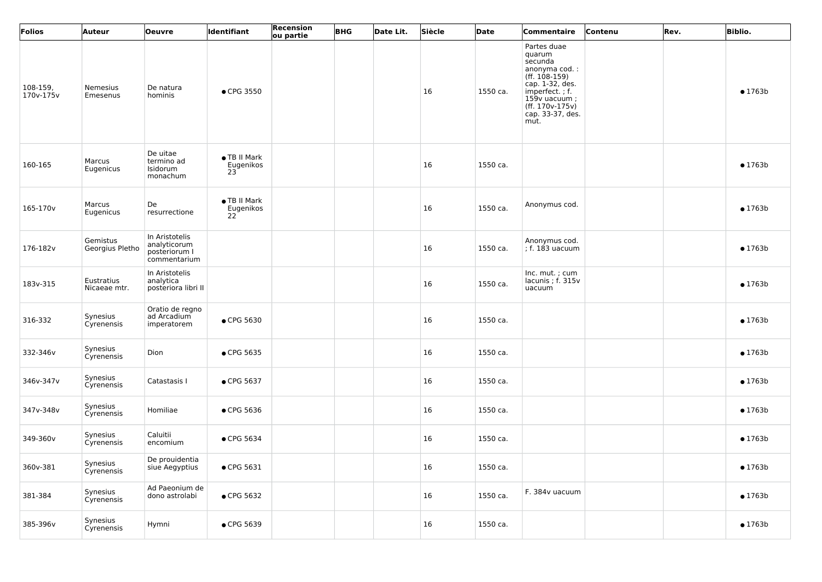| Folios                | Auteur                      | <b>Oeuvre</b>                                                   | <b>Identifiant</b>              | Recension<br>ou partie | <b>BHG</b> | Date Lit. | Siècle | <b>Date</b> | Commentaire                                                                                                                                                                 | Contenu | Rev. | <b>Biblio.</b>  |
|-----------------------|-----------------------------|-----------------------------------------------------------------|---------------------------------|------------------------|------------|-----------|--------|-------------|-----------------------------------------------------------------------------------------------------------------------------------------------------------------------------|---------|------|-----------------|
| 108-159,<br>170v-175v | Nemesius<br>Emesenus        | De natura<br>hominis                                            | • CPG 3550                      |                        |            |           | 16     | 1550 ca.    | Partes duae<br>quarum<br>secunda<br>anonyma cod. :<br>$(ff. 108-159)$<br>cap. 1-32, des.<br>imperfect.; f.<br>$159v$ uacuum;<br>(ff. 170v-175v)<br>cap. 33-37, des.<br>mut. |         |      | $\bullet$ 1763b |
| 160-165               | Marcus<br>Eugenicus         | De uitae<br>termino ad<br>Isidorum<br>monachum                  | • TB II Mark<br>Eugenikos<br>23 |                        |            |           | 16     | 1550 ca.    |                                                                                                                                                                             |         |      | $\bullet$ 1763b |
| 165-170 <sub>v</sub>  | Marcus<br>Eugenicus         | De<br>resurrectione                                             | ● TB II Mark<br>Eugenikos<br>22 |                        |            |           | 16     | 1550 ca.    | Anonymus cod.                                                                                                                                                               |         |      | $\bullet$ 1763b |
| 176-182v              | Gemistus<br>Georgius Pletho | In Aristotelis<br>analyticorum<br>posteriorum I<br>commentarium |                                 |                        |            |           | 16     | 1550 ca.    | Anonymus cod.<br>$\vert$ ; f. 183 uacuum                                                                                                                                    |         |      | $\bullet$ 1763b |
| 183v-315              | Eustratius<br>Nicaeae mtr.  | In Aristotelis<br>analytica<br>posteriora libri II              |                                 |                        |            |           | 16     | 1550 ca.    | Inc. mut.; cum<br>lacunis; f. 315v<br>uacuum                                                                                                                                |         |      | $\bullet$ 1763b |
| 316-332               | Synesius<br>Cyrenensis      | Oratio de regno<br>ad Arcadium<br>imperatorem                   | • CPG 5630                      |                        |            |           | 16     | 1550 ca.    |                                                                                                                                                                             |         |      | • 1763b         |
| 332-346v              | Synesius<br>Cyrenensis      | Dion                                                            | • CPG 5635                      |                        |            |           | 16     | 1550 ca.    |                                                                                                                                                                             |         |      | $\bullet$ 1763b |
| 346v-347v             | Synesius<br>Cyrenensis      | Catastasis I                                                    | • CPG 5637                      |                        |            |           | 16     | 1550 ca.    |                                                                                                                                                                             |         |      | $\bullet$ 1763b |
| 347v-348v             | Synesius<br>Cyrenensis      | Homiliae                                                        | • CPG 5636                      |                        |            |           | 16     | 1550 ca.    |                                                                                                                                                                             |         |      | $\bullet$ 1763b |
| 349-360v              | Synesius<br>Cyrenensis      | Caluitii<br>encomium                                            | • CPG 5634                      |                        |            |           | 16     | 1550 ca.    |                                                                                                                                                                             |         |      | $\bullet$ 1763b |
| 360v-381              | Synesius<br>Cyrenensis      | De prouidentia<br>siue Aegyptius                                | • CPG 5631                      |                        |            |           | 16     | 1550 ca.    |                                                                                                                                                                             |         |      | $\bullet$ 1763b |
| 381-384               | Synesius<br>Cyrenensis      | Ad Paeonium de<br>dono astrolabi                                | • CPG 5632                      |                        |            |           | 16     | 1550 ca.    | F. 384v uacuum                                                                                                                                                              |         |      | $\bullet$ 1763b |
| 385-396v              | Synesius<br>Cyrenensis      | Hymni                                                           | • CPG 5639                      |                        |            |           | 16     | 1550 ca.    |                                                                                                                                                                             |         |      | $\bullet$ 1763b |